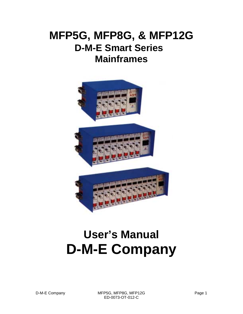# **MFP5G, MFP8G, & MFP12G D-M-E Smart Series Mainframes**



# **User's Manual D-M-E Company**

D-M-E Company MFP5G, MFP8G, MFP12G Page 1 ED-0073-OT-012-C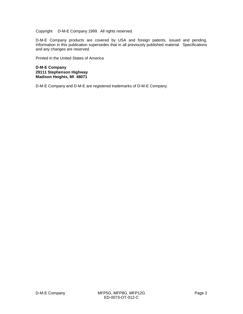Copyright © D-M-E Company 1999. All rights reserved.

D-M-E Company products are covered by USA and foreign patents, issued and pending. Information in this publication supersedes that in all previously published material. Specifications and any changes are reserved.

Printed in the United States of America

**D-M-E Company 29111 Stephenson Highway Madison Heights, MI 48071**

D-M-E Company and D-M-E are registered trademarks of D-M-E Company.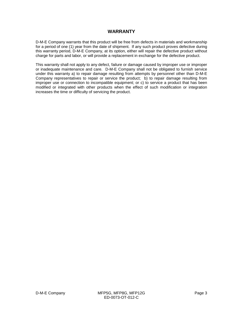#### **WARRANTY**

D-M-E Company warrants that this product will be free from defects in materials and workmanship for a period of one (1) year from the date of shipment. If any such product proves defective during this warranty period, D-M-E Company, at its option, either will repair the defective product without charge for parts and labor, or will provide a replacement in exchange for the defective product.

This warranty shall not apply to any defect, failure or damage caused by improper use or improper or inadequate maintenance and care. D-M-E Company shall not be obligated to furnish service under this warranty a) to repair damage resulting from attempts by personnel other than D-M-E Company representatives to repair or service the product; b) to repair damage resulting from improper use or connection to incompatible equipment; or c) to service a product that has been modified or integrated with other products when the effect of such modification or integration increases the time or difficulty of servicing the product.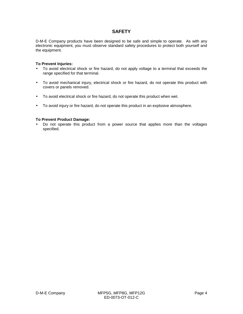#### **SAFETY**

D-M-E Company products have been designed to be safe and simple to operate. As with any electronic equipment, you must observe standard safety procedures to protect both yourself and the equipment.

#### **To Prevent Injuries:**

- To avoid electrical shock or fire hazard, do not apply voltage to a terminal that exceeds the range specified for that terminal.
- To avoid mechanical injury, electrical shock or fire hazard, do not operate this product with covers or panels removed.
- To avoid electrical shock or fire hazard, do not operate this product when wet.
- To avoid injury or fire hazard, do not operate this product in an explosive atmosphere.

#### **To Prevent Product Damage:**

• Do not operate this product from a power source that applies more than the voltages specified.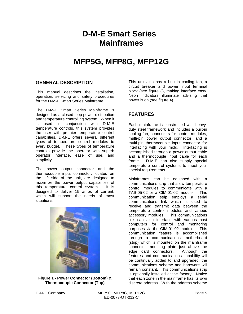# **D-M-E Smart Series Mainframes**

## **MFP5G, MFP8G, MFP12G**

#### **GENERAL DESCRIPTION**

This manual describes the installation, operation, servicing and safety procedures for the D-M-E Smart Series Mainframe.

The D-M-E Smart Series Mainframe is designed as a closed-loop power distribution and temperature controlling system. When it is used in conjunction with D-M-E temperature controls, this system provides the user with premier temperature control capabilities. D-M-E offers several different types of temperature control modules to every budget. These types of temperature controls provide the operator with superb operator interface, ease of use, and simplicity.

The power output connector and the thermocouple input connector, located on the left side of the unit, are designed to maximize the power output capabilities of this temperature control system. It is designed to deliver 15 amps of current, which will support the needs of most situations.



**Figure 1 - Power Connector (Bottom) & Thermocouple Connector (Top)**

This unit also has a built-in cooling fan, a circuit breaker and power input terminal block (see figure 3), making interface easy. Neon indicators illuminate advising that power is on (see figure 4).

#### **FEATURES**

Each mainframe is constructed with heavyduty steel framework and includes a built-in cooling fan, connectors for control modules, multi-pin power output connector, and a multi-pin thermocouple input connector for interfacing with your mold. Interfacing is accomplished through a power output cable and a thermocouple input cable for each frame. D-M-E can also supply special temperature control systems to meet your special requirements.

Mainframes can be equipped with a communications strip that allow temperature control modules to communicate with a TAS-05-02 or a CIM-01-02 module. This communication strip employs a serial communications link which is used to receive and transmit data between the temperature control modules and various accessory modules. This communications link can also interface with various host computers for control and monitoring purposes via the CIM-01-02 module. This communication feature is accomplished through a communications motherboard (strip) which is mounted on the mainframe connector mounting plate just above the edge card connectors. Although the features and communications capability will be continually added to and upgraded, the communications scheme and hardware will remain constant. This communications strip is optionally installed at the factory. Notice that each zone in the mainframe has its own discrete address. With the address scheme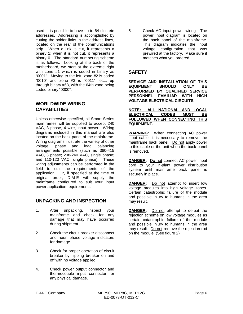used, it is possible to have up to 64 discrete addresses. Addressing is accomplished by cutting the solder links in the address lines, located on the rear of the communications strip. When a link is cut, it represents a binary 1; when it is not cut, it represents a binary 0. The standard numbering scheme is as follows: Looking at the back of the motherboard, we start at the extreme right with zone #1 which is coded in binary as "0001". Moving to the left, zone #2 is coded "0010" and zone #3 is "0011". etc., up through binary #63, with the 64th zone being coded binary "0000".

#### **WORLDWIDE WIRING CAPABILITIES**

Unless otherwise specified, all Smart Series mainframes will be supplied to accept 240 VAC, 3 phase, 4 wire, input power. Wiring diagrams included in this manual are also located on the back panel of the mainframe. Wiring diagrams illustrate the variety of other voltage, phase and load balancing arrangements possible (such as 380-415 VAC, 3 phase; 208-240 VAC, single phase; and 110-120 VAC, single phase). These wiring adjustments can be performed in the field to suit the requirements of the application. Or, if specified at the time of original order, D-M-E will supply the mainframe configured to suit your input power application requirements.

#### **UNPACKING AND INSPECTION**

- 1. After unpacking, inspect your mainframe and check for any damage that may have occurred during shipment.
- 2. Check the circuit breaker disconnect and neon phase voltage indicators for damage.
- 3. Check for proper operation of circuit breaker by flipping breaker on and off with no voltage applied.
- 4. Check power output connector and thermocouple input connector for any physical damage.

5. Check AC input power wiring. The power input diagram is located on the back panel of the mainframe. This diagram indicates the input voltage configuration that was prewired at the factory. Make sure it matches what you ordered.

#### **SAFETY**

**SERVICE AND INSTALLATION OF THIS EQUIPMENT SHOULD ONLY BE PERFORMED BY QUALIFIED SERVICE PERSONNEL FAMILIAR WITH HIGH VOLTAGE ELECTRICAL CIRCUITS.**

#### **NOTE: ALL NATIONAL AND LOCAL ELECTRICAL CODES MUST BE FOLLOWED WHEN CONNECTING THIS EQUIPMENT.**

**WARNING:** When connecting AC power input cable, it is necessary to remove the mainframe back panel. Do not apply power to this cable or the unit when the back panel is removed.

**DANGER:** Do not connect AC power input cord to your in-plant power distribution system until mainframe back panel is securely in place.

**DANGER:** Do not attempt to insert low voltage modules into high voltage zones. Certain catastrophic failure of the module and possible injury to humans in the area may result.

**DANGER:** Do not attempt to defeat the rejection scheme on low voltage modules as certain catastrophic failure of the module and possible injury to humans in the area may result. Do not remove the rejection rod on the module. (See figure 2)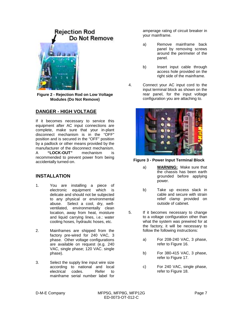# **Rejection Rod** Do Not Remove

**Figure 2 - Rejection Rod on Low Voltage Modules (Do Not Remove)**

#### **DANGER - HIGH VOLTAGE**

If it becomes necessary to service this equipment after AC input connections are complete, make sure that your in-plant disconnect mechanism is in the "OFF" position and is secured in the "OFF" position by a padlock or other means provided by the manufacturer of the disconnect mechanism. A **"LOCK-OUT"** mechanism is recommended to prevent power from being accidentally turned-on.

#### **INSTALLATION**

- 1. You are installing a piece of electronic equipment which is delicate and should not be subjected to any physical or environmental abuse. Select a cool, dry, wellventilated, environmentally clean location, away from heat, moisture and liquid carrying lines, i.e.: water cooling hoses, hydraulic hoses, etc.
- 2. Mainframes are shipped from the factory pre-wired for 240 VAC, 3 phase. Other voltage configurations are available on request (e.g. 240 VAC, single phase; 120 VAC. single phase).
- 3. Select the supply line input wire size according to national and local electrical codes. Refer to mainframe serial number label for

amperage rating of circuit breaker in your mainframe.

- a) Remove mainframe back panel by removing screws around the perimeter of the panel.
- b) Insert input cable through access hole provided on the right side of the mainframe.
- 4. Connect your AC input cord to the input terminal block as shown on the rear panel, for the input voltage configuration you are attaching to.



**Figure 3 - Power Input Terminal Block**

- a) **WARNING:** Make sure that the chassis has been earth grounded before applying power.
- b) Take up excess slack in cable and secure with strain relief clamp provided on outside of cabinet.
- 5. If it becomes necessary to change to a voltage configuration other than what the system was prewired for at the factory, it will be necessary to follow the following instructions:
	- a) For 208-240 VAC, 3 phase, refer to Figure 16.
	- b) For 380-415 VAC, 3 phase, refer to Figure 17.
	- c) For 240 VAC, single phase, refer to Figure 18.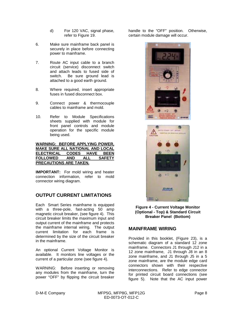- d) For 120 VAC, signal phase, refer to Figure 19.
- 6. Make sure mainframe back panel is securely in place before connecting power to mainframe.
- 7. Route AC input cable to a branch circuit (service) disconnect switch and attach leads to fused side of switch. Be sure ground lead is attached to a good earth ground.
- 8. Where required, insert appropriate fuses in fused disconnect box.
- 9. Connect power & thermocouple cables to mainframe and mold.
- 10. Refer to Module Specifications sheets supplied with module for front panel controls and module operation for the specific module being used.

#### **WARNING: BEFORE APPLYING POWER, MAKE SURE ALL NATIONAL AND LOCAL ELECTRICAL CODES HAVE BEEN FOLLOWED AND ALL SAFETY PRECAUTIONS ARE TAKEN.**

**IMPORTANT:** For mold wiring and heater connection information, refer to mold connector wiring diagram.

#### **OUTPUT CURRENT LIMITATIONS**

Each Smart Series mainframe is equipped with a three-pole, fast-acting 50 amp magnetic circuit breaker, (see figure 4). This circuit breaker limits the maximum input and output current of the mainframe and protects the mainframe internal wiring. The output current limitation for each frame is determined by the size of the circuit breaker in the mainframe.

An optional Current Voltage Monitor is available. It monitors line voltages or the current of a particular zone (see figure 4).

WARNING: Before inserting or removing any modules from the mainframe, turn the power "OFF" by flipping the circuit breaker

handle to the "OFF" position. Otherwise, certain module damage will occur.





**Figure 4 - Current Voltage Monitor (Optional - Top) & Standard Circuit Breaker Panel (Bottom)**

#### **MAINFRAME WIRING**

Provided in this booklet, (Figure 23), is a schematic diagram of a standard 12 zone mainframe. Connectors J1 through J12 in a 12 zone mainframe, J1 through J8 in an 8 zone mainframe, and J1 through J5 in a 5 zone mainframe, are the module edge card connectors shown with their respective interconnections. Refer to edge connector for printed circuit board connections (see figure 5). Note that the AC input power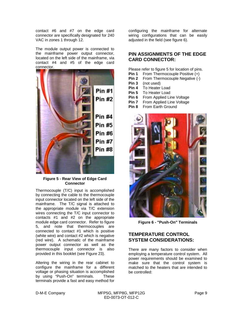contact #6 and #7 on the edge card connector are specifically designated for 240 VAC in zones 1 through 12.

The module output power is connected to the mainframe power output connector, located on the left side of the mainframe, via contact #4 and #5 of the edge card connector.



#### **Figure 5 - Rear View of Edge Card Connector**

Thermocouple (T/C) input is accomplished by connecting the cable to the thermocouple input connector located on the left side of the mainframe. The T/C signal is attached to the appropriate module via T/C extension wires connecting the T/C input connector to contacts #1 and #2 on the appropriate module edge card connector. Refer to figure 5, and note that thermocouples are connected to contact #1 which is positive (white wire) and contact #2 which is negative (red wire). A schematic of the mainframe power output connector as well as the thermocouple input connector is also provided in this booklet (see Figure 23).

Altering the wiring in the rear cabinet to configure the mainframe for a different voltage or phasing situation is accomplished by using "Push-On" terminals. These terminals provide a fast and easy method for

configuring the mainframe for alternate wiring configurations that can be easily adjusted in the field (see figure 6).

#### **PIN ASSIGNMENTS OF THE EDGE CARD CONNECTOR:**

Please refer to figure 5 for location of pins.

- **Pin 1** From Thermocouple Positive (+)
- **Pin 2** From Thermocouple Negative (-)
- **Pin 3** (not used)
- **Pin 4** To Heater Load
- **Pin 5** To Heater Load
- **Pin 6** From Applied Line Voltage
- **Pin 7** From Applied Line Voltage
- **Pin 8** From Earth Ground



**Figure 6 - "Push-On" Terminals**

#### **TEMPERATURE CONTROL SYSTEM CONSIDERATIONS:**

There are many factors to consider when employing a temperature control system. All power requirements should be examined to make sure that the control system is matched to the heaters that are intended to be controlled: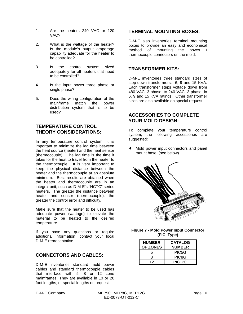- 1. Are the heaters 240 VAC or 120 VAC?
- 2. What is the wattage of the heater? Is the module's output amperage capability adequate for the heater to be controlled?
- 3. Is the control system sized adequately for all heaters that need to be controlled?
- 4. Is the input power three phase or single phase?
- 5. Does the wiring configuration of the mainframe match the power distribution system that is to be used?

#### **TEMPERATURE CONTROL THEORY CONSIDERATIONS:**

In any temperature control system, it is important to minimize the lag time between the heat source (heater) and the heat sensor (thermocouple). The lag time is the time it takes for the heat to travel from the heater to the thermocouple. It is very important to keep the physical distance between the heater and the thermocouple at an absolute minimum. Best results are obtained when the heater and thermocouple are in an integral unit, such as D-M-E's "HCTC" series heaters. The greater the distance between heater and sensor (thermocouple), the greater the control error and difficulty.

Make sure that the heater to be used has adequate power (wattage) to elevate the material to be heated to the desired temperature.

If you have any questions or require additional information, contact your local D-M-E representative.

#### **CONNECTORS AND CABLES:**

D-M-E inventories standard mold power cables and standard thermocouple cables that interface with 5, 8 or 12 zone mainframes. They are available in 10 or 20 foot lengths, or special lengths on request.

#### **TERMINAL MOUNTING BOXES:**

D-M-E also inventories terminal mounting boxes to provide an easy and economical method of mounting the power / thermocouple connectors on the mold.

#### **TRANSFORMER KITS:**

D-M-E inventories three standard sizes of step-down transformers: 6, 9 and 15 KVA. Each transformer steps voltage down from 480 VAC, 3 phase, to 240 VAC, 3 phase, in 6, 9 and 15 KVA ratings. Other transformer sizes are also available on special request.

#### **ACCESSORIES TO COMPLETE YOUR MOLD DESIGN:**

To complete your temperature control system, the following accessories are suggested:

Mold power input connectors and panel mount base, (see below).



| <b>Figure 7 - Mold Power Input Connector</b> |
|----------------------------------------------|
| (PIC Type)                                   |

| <b>NUMBER</b><br><b>OF ZONES</b> | <b>CATALOG</b><br><b>NUMBER</b> |
|----------------------------------|---------------------------------|
| 5                                | PIC5G                           |
| 8                                | PIC8G                           |
| 12                               | PIC <sub>12G</sub>              |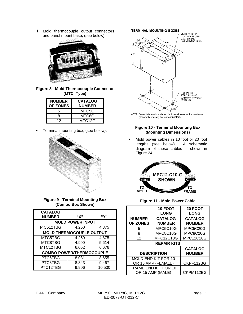♦ Mold thermocouple output connectors and panel mount base, (see below).



**Figure 8 - Mold Thermocouple Connector (MTC Type)**

| <b>NUMBER</b><br><b>OF ZONES</b> | <b>CATALOG</b><br><b>NUMBER</b> |
|----------------------------------|---------------------------------|
| 5                                | MTC5G                           |
| 8                                | MTC8G                           |
| 12                               | MTC12G                          |

• Terminal mounting box, (see below).



**Figure 9 - Terminal Mounting Box (Combo Box Shown)**

| <b>CATALOG</b><br><b>NUMBER</b> | "X"   | "Υ"    |  |
|---------------------------------|-------|--------|--|
| <b>MOLD POWER INPUT</b>         |       |        |  |
| PIC512TBG                       | 4.250 | 4.875  |  |
| <b>MOLD THERMOCOUPLE OUTPUT</b> |       |        |  |
| MTC5TBG                         | 4.250 | 4.875  |  |
| MTC8TBG                         | 4.990 | 5.614  |  |
| MTC12TBG                        | 6.052 | 6.676  |  |
| <b>COMBO POWER/THERMOCOUPLE</b> |       |        |  |
| PTC5TBG                         | 8.031 | 8.655  |  |
| PTC8TBG                         | 8.843 | 9.467  |  |
| PTC12TBG                        | 9.906 | 10.530 |  |

**TERMINAL MOUNTING BOXES** 



NOTE: Overall dimensions shown include allowances for hardware (assembly screws) but not connectors.

#### **Figure 10 - Terminal Mounting Box (Mounting Dimensions)**

• Mold power cables in 10 foot or 20 foot lengths (see below). A schematic diagram of these cables is shown in Figure 24.



#### **Figure 11 - Mold Power Cable**

|                    | 10 FOOT                     | <b>20 FOOT</b>   |  |
|--------------------|-----------------------------|------------------|--|
|                    | <b>LONG</b>                 | <b>LONG</b>      |  |
| <b>NUMBER</b>      | <b>CATALOG</b>              | <b>CATALOG</b>   |  |
| <b>OF ZONES</b>    | <b>NUMBER</b>               | <b>NUMBER</b>    |  |
| 5                  | MPC5C10G                    | MPC5C20G         |  |
| 8                  | MPC8C10G                    | MPC8C20G         |  |
| 12                 | <b>MPC12C10G</b>            | <b>MPC12C20G</b> |  |
| <b>REPAIR KITS</b> |                             |                  |  |
|                    |                             | <b>CATALOG</b>   |  |
| <b>DESCRIPTION</b> |                             | <b>NUMBER</b>    |  |
|                    |                             |                  |  |
|                    | <b>MOLD END KIT FOR 10</b>  |                  |  |
|                    | OR 15 AMP (FEMALE)          | CKPF112BG        |  |
|                    | <b>FRAME END KIT FOR 10</b> |                  |  |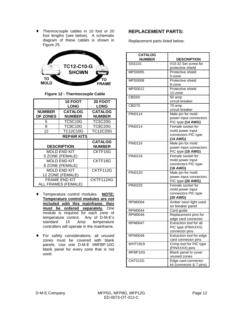♦ Thermocouple cables in 10 foot or 20 foot lengths (see below). A schematic diagram of these cables is shown in Figure 25.



**Figure 12 - Thermocouple Cable**

|                                         | <b>10 FOOT</b><br><b>LONG</b>               | <b>20 FOOT</b><br><b>LONG</b>   |
|-----------------------------------------|---------------------------------------------|---------------------------------|
| <b>NUMBER</b><br><b>OF ZONES</b>        | <b>CATALOG</b><br><b>NUMBER</b>             | <b>CATALOG</b><br><b>NUMBER</b> |
| 5                                       | <b>TC5C10G</b>                              | <b>TC5C20G</b>                  |
| 8                                       | <b>TC8C10G</b>                              | TC8C20G                         |
| 12                                      | <b>TC12C10G</b>                             | <b>TC12C20G</b>                 |
| <b>REPAIR KITS</b>                      |                                             |                                 |
|                                         | <b>DESCRIPTION</b>                          | <b>CATALOG</b><br><b>NUMBER</b> |
|                                         | <b>MOLD END KIT</b><br>5 ZONE (FEMALE)      | CKTF15G                         |
|                                         | <b>MOLD END KIT</b><br>8 ZONE (FEMALE)      | CKTF18G                         |
| <b>MOLD END KIT</b><br>12 ZONE (FEMALE) |                                             | CKTF112G                        |
|                                         | <b>FRAME END KIT</b><br>ALL FRAMES (FEMALE) | CKTF112AG                       |

- ♦ Temperature control modules. **NOTE: Temperature control modules are not included with this mainframe, they must be ordered separately.** One module is required for each zone of temperature control. Any of D-M-E's standard 15 Amp temperature controllers will operate in the mainframe.
- ♦ For safety considerations, all unused zones must be covered with blank panels. Use one D-M-E #MFBP-10G blank panel for every zone that is not used.

#### **REPLACEMENT PARTS:**

Replacement parts listed below:

| <b>CATALOG</b>    |                                                |
|-------------------|------------------------------------------------|
| <b>NUMBER</b>     | <b>DESCRIPTION</b>                             |
| SSS101            | #10-32 Set screw for                           |
|                   | protective shield                              |
| <b>MPS0005</b>    | Protective shield                              |
| <b>MPS0008</b>    | 5-zone<br>Protective shield                    |
|                   | 8-zone                                         |
| MPS0012           | Protective shield                              |
|                   | 12-zone                                        |
| CBD <sub>50</sub> | 50 amp                                         |
|                   | circuit breaker                                |
| CBD70             | 70 amp                                         |
|                   | circuit breaker                                |
| <b>PIN0114</b>    | Male pin for mold                              |
|                   | power input connectors                         |
|                   | PIC type (14 AWG)                              |
| <b>PIN0214</b>    | Female socket for                              |
|                   | mold power input                               |
|                   | connectors PIC type                            |
| PIN0116           | (14 AWG)                                       |
|                   | Male pin for mold<br>power input connectors    |
|                   | PIC type (16 AWG)                              |
| PIN0216           | Female socket for                              |
|                   | mold power input                               |
|                   | connectors PIC type                            |
|                   | (16 AWG)                                       |
| <b>PIN0120</b>    | Male pin for mold                              |
|                   | power input connectors                         |
|                   | PIC type (20 AWG)                              |
| <b>PIN0220</b>    | Female socket for                              |
|                   | mold power input                               |
|                   | connectors PIC type                            |
|                   | (20 AWG)                                       |
| <b>RPM0004</b>    | Amber neon light used                          |
|                   | on breaker panel                               |
| <b>RPM0044</b>    | Card guide                                     |
| <b>RPM0046</b>    | Replacement pins for                           |
| <b>RPM0047</b>    | edge card connector<br>Extraction tool for all |
|                   | PIC type (PINXXXX)                             |
|                   | connector pins                                 |
| RPM0048           | Extraction tool for edge                       |
|                   | card connector pins                            |
| <b>WHT1919</b>    | Crimp tool for PIC type                        |
|                   | (PINXXXX) pins                                 |
| MFBP10G           | Blank panel to cover                           |
|                   | unused zones                                   |
| <b>CKF312G</b>    | Edge card connector                            |
|                   | kit (connector & 7 pins)                       |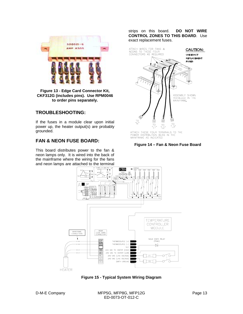

**Figure 13 - Edge Card Connector Kit, CKF312G (includes pins). Use RPM0046 to order pins separately.**

#### **TROUBLESHOOTING:**

If the fuses in a module clear upon initial power up, the heater output(s) are probably grounded.

#### **FAN & NEON FUSE BOARD:**

This board distributes power to the fan & neon lamps only. It is wired into the back of the mainframe where the wiring for the fans and neon lamps are attached to the terminal

strips on this board. **DO NOT WIRE CONTROL ZONES TO THIS BOARD**. Use exact replacement fuses.







**Figure 15 - Typical System Wiring Diagram**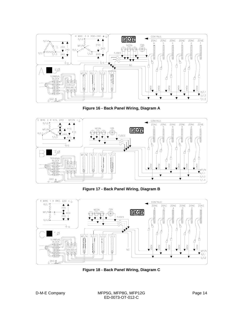

**Figure 16 - Back Panel Wiring, Diagram A**



**Figure 17 - Back Panel Wiring, Diagram B**



**Figure 18 - Back Panel Wiring, Diagram C**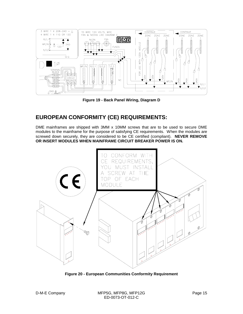

**Figure 19 - Back Panel Wiring, Diagram D**

## **EUROPEAN CONFORMITY (CE) REQUIREMENTS:**

DME mainframes are shipped with 3MM x 10MM screws that are to be used to secure DME modules to the mainframe for the purpose of satisfying CE requirements. When the modules are screwed down securely, they are considered to be CE certified (compliant). **NEVER REMOVE OR INSERT MODULES WHEN MAINFRAME CIRCUIT BREAKER POWER IS ON.**



**Figure 20 - European Communities Conformity Requirement**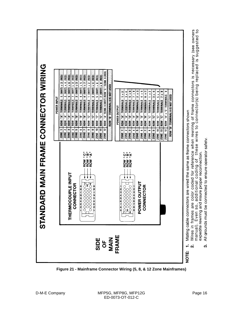

**Figure 21 - Mainframe Connector Wiring (5, 8, & 12 Zone Mainframes)**

က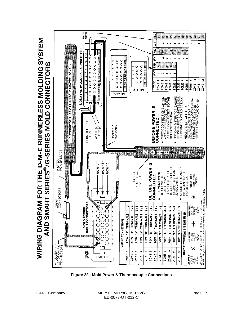

**Figure 22 - Mold Power & Thermocouple Connections**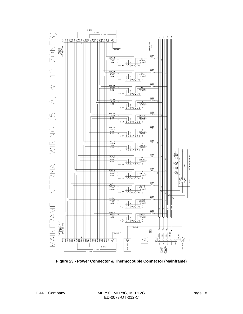

**Figure 23 - Power Connector & Thermocouple Connector (Mainframe)**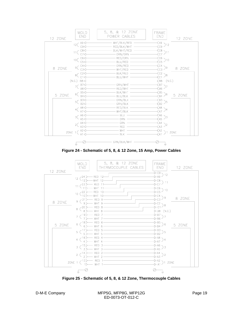

**Figure 24 - Schematic of 5, 8, & 12 Zone, 15 Amp, Power Cables**



**Figure 25 - Schematic of 5, 8, & 12 Zone, Thermocouple Cables**